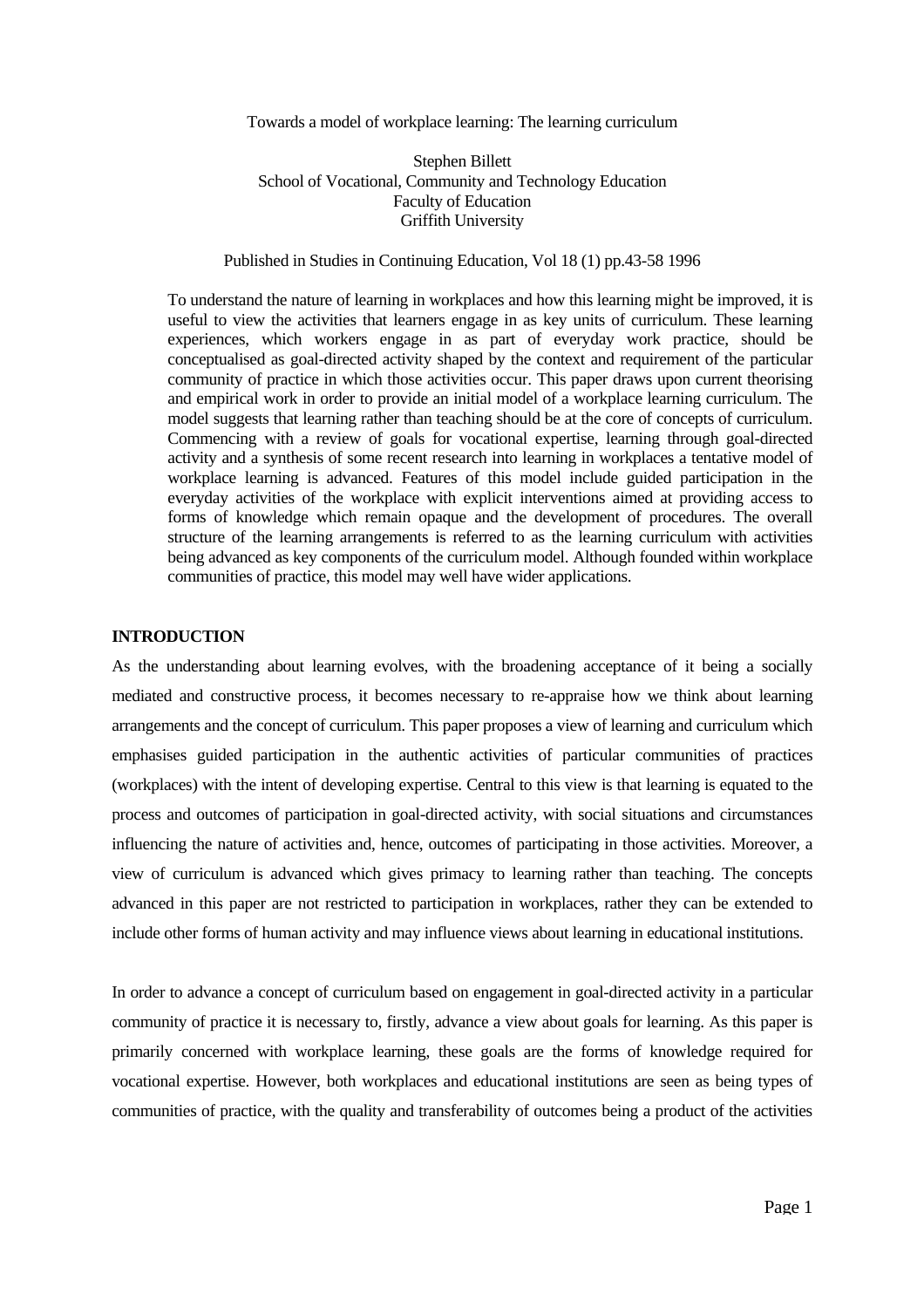Towards a model of workplace learning: The learning curriculum

# Stephen Billett School of Vocational, Community and Technology Education Faculty of Education Griffith University

## Published in Studies in Continuing Education, Vol 18 (1) pp.43-58 1996

 To understand the nature of learning in workplaces and how this learning might be improved, it is useful to view the activities that learners engage in as key units of curriculum. These learning experiences, which workers engage in as part of everyday work practice, should be conceptualised as goal-directed activity shaped by the context and requirement of the particular community of practice in which those activities occur. This paper draws upon current theorising and empirical work in order to provide an initial model of a workplace learning curriculum. The model suggests that learning rather than teaching should be at the core of concepts of curriculum. Commencing with a review of goals for vocational expertise, learning through goal-directed activity and a synthesis of some recent research into learning in workplaces a tentative model of workplace learning is advanced. Features of this model include guided participation in the everyday activities of the workplace with explicit interventions aimed at providing access to forms of knowledge which remain opaque and the development of procedures. The overall structure of the learning arrangements is referred to as the learning curriculum with activities being advanced as key components of the curriculum model. Although founded within workplace communities of practice, this model may well have wider applications.

# **INTRODUCTION**

As the understanding about learning evolves, with the broadening acceptance of it being a socially mediated and constructive process, it becomes necessary to re-appraise how we think about learning arrangements and the concept of curriculum. This paper proposes a view of learning and curriculum which emphasises guided participation in the authentic activities of particular communities of practices (workplaces) with the intent of developing expertise. Central to this view is that learning is equated to the process and outcomes of participation in goal-directed activity, with social situations and circumstances influencing the nature of activities and, hence, outcomes of participating in those activities. Moreover, a view of curriculum is advanced which gives primacy to learning rather than teaching. The concepts advanced in this paper are not restricted to participation in workplaces, rather they can be extended to include other forms of human activity and may influence views about learning in educational institutions.

In order to advance a concept of curriculum based on engagement in goal-directed activity in a particular community of practice it is necessary to, firstly, advance a view about goals for learning. As this paper is primarily concerned with workplace learning, these goals are the forms of knowledge required for vocational expertise. However, both workplaces and educational institutions are seen as being types of communities of practice, with the quality and transferability of outcomes being a product of the activities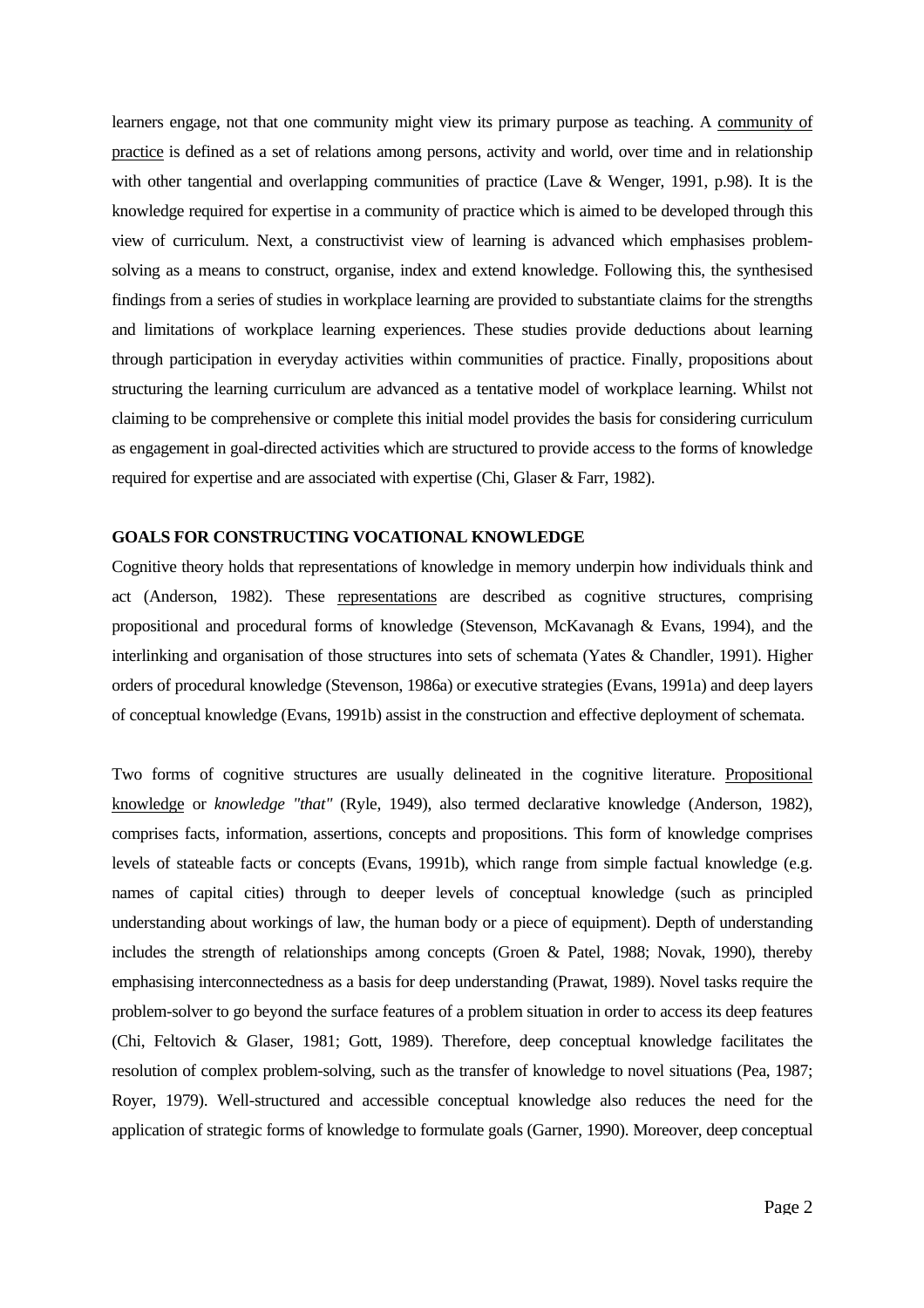learners engage, not that one community might view its primary purpose as teaching. A community of practice is defined as a set of relations among persons, activity and world, over time and in relationship with other tangential and overlapping communities of practice (Lave & Wenger, 1991, p.98). It is the knowledge required for expertise in a community of practice which is aimed to be developed through this view of curriculum. Next, a constructivist view of learning is advanced which emphasises problemsolving as a means to construct, organise, index and extend knowledge. Following this, the synthesised findings from a series of studies in workplace learning are provided to substantiate claims for the strengths and limitations of workplace learning experiences. These studies provide deductions about learning through participation in everyday activities within communities of practice. Finally, propositions about structuring the learning curriculum are advanced as a tentative model of workplace learning. Whilst not claiming to be comprehensive or complete this initial model provides the basis for considering curriculum as engagement in goal-directed activities which are structured to provide access to the forms of knowledge required for expertise and are associated with expertise (Chi, Glaser & Farr, 1982).

## **GOALS FOR CONSTRUCTING VOCATIONAL KNOWLEDGE**

Cognitive theory holds that representations of knowledge in memory underpin how individuals think and act (Anderson, 1982). These representations are described as cognitive structures, comprising propositional and procedural forms of knowledge (Stevenson, McKavanagh & Evans, 1994), and the interlinking and organisation of those structures into sets of schemata (Yates & Chandler, 1991). Higher orders of procedural knowledge (Stevenson, 1986a) or executive strategies (Evans, 1991a) and deep layers of conceptual knowledge (Evans, 1991b) assist in the construction and effective deployment of schemata.

Two forms of cognitive structures are usually delineated in the cognitive literature. Propositional knowledge or *knowledge "that"* (Ryle, 1949), also termed declarative knowledge (Anderson, 1982), comprises facts, information, assertions, concepts and propositions. This form of knowledge comprises levels of stateable facts or concepts (Evans, 1991b), which range from simple factual knowledge (e.g. names of capital cities) through to deeper levels of conceptual knowledge (such as principled understanding about workings of law, the human body or a piece of equipment). Depth of understanding includes the strength of relationships among concepts (Groen & Patel, 1988; Novak, 1990), thereby emphasising interconnectedness as a basis for deep understanding (Prawat, 1989). Novel tasks require the problem-solver to go beyond the surface features of a problem situation in order to access its deep features (Chi, Feltovich & Glaser, 1981; Gott, 1989). Therefore, deep conceptual knowledge facilitates the resolution of complex problem-solving, such as the transfer of knowledge to novel situations (Pea, 1987; Royer, 1979). Well-structured and accessible conceptual knowledge also reduces the need for the application of strategic forms of knowledge to formulate goals (Garner, 1990). Moreover, deep conceptual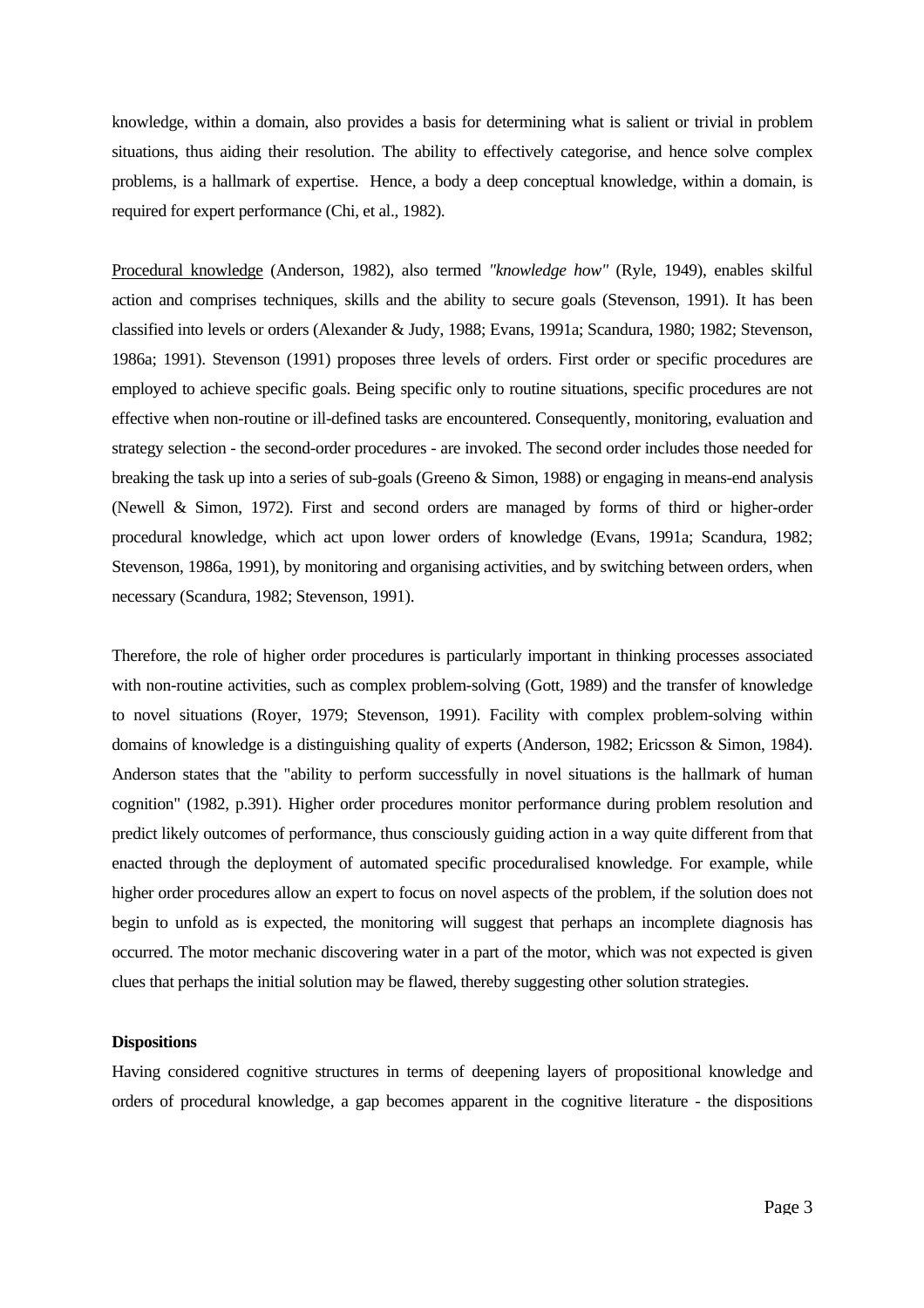knowledge, within a domain, also provides a basis for determining what is salient or trivial in problem situations, thus aiding their resolution. The ability to effectively categorise, and hence solve complex problems, is a hallmark of expertise. Hence, a body a deep conceptual knowledge, within a domain, is required for expert performance (Chi, et al., 1982).

Procedural knowledge (Anderson, 1982), also termed *"knowledge how"* (Ryle, 1949), enables skilful action and comprises techniques, skills and the ability to secure goals (Stevenson, 1991). It has been classified into levels or orders (Alexander & Judy, 1988; Evans, 1991a; Scandura, 1980; 1982; Stevenson, 1986a; 1991). Stevenson (1991) proposes three levels of orders. First order or specific procedures are employed to achieve specific goals. Being specific only to routine situations, specific procedures are not effective when non-routine or ill-defined tasks are encountered. Consequently, monitoring, evaluation and strategy selection - the second-order procedures - are invoked. The second order includes those needed for breaking the task up into a series of sub-goals (Greeno & Simon, 1988) or engaging in means-end analysis (Newell & Simon, 1972). First and second orders are managed by forms of third or higher-order procedural knowledge, which act upon lower orders of knowledge (Evans, 1991a; Scandura, 1982; Stevenson, 1986a, 1991), by monitoring and organising activities, and by switching between orders, when necessary (Scandura, 1982; Stevenson, 1991).

Therefore, the role of higher order procedures is particularly important in thinking processes associated with non-routine activities, such as complex problem-solving (Gott, 1989) and the transfer of knowledge to novel situations (Royer, 1979; Stevenson, 1991). Facility with complex problem-solving within domains of knowledge is a distinguishing quality of experts (Anderson, 1982; Ericsson & Simon, 1984). Anderson states that the "ability to perform successfully in novel situations is the hallmark of human cognition" (1982, p.391). Higher order procedures monitor performance during problem resolution and predict likely outcomes of performance, thus consciously guiding action in a way quite different from that enacted through the deployment of automated specific proceduralised knowledge. For example, while higher order procedures allow an expert to focus on novel aspects of the problem, if the solution does not begin to unfold as is expected, the monitoring will suggest that perhaps an incomplete diagnosis has occurred. The motor mechanic discovering water in a part of the motor, which was not expected is given clues that perhaps the initial solution may be flawed, thereby suggesting other solution strategies.

#### **Dispositions**

Having considered cognitive structures in terms of deepening layers of propositional knowledge and orders of procedural knowledge, a gap becomes apparent in the cognitive literature - the dispositions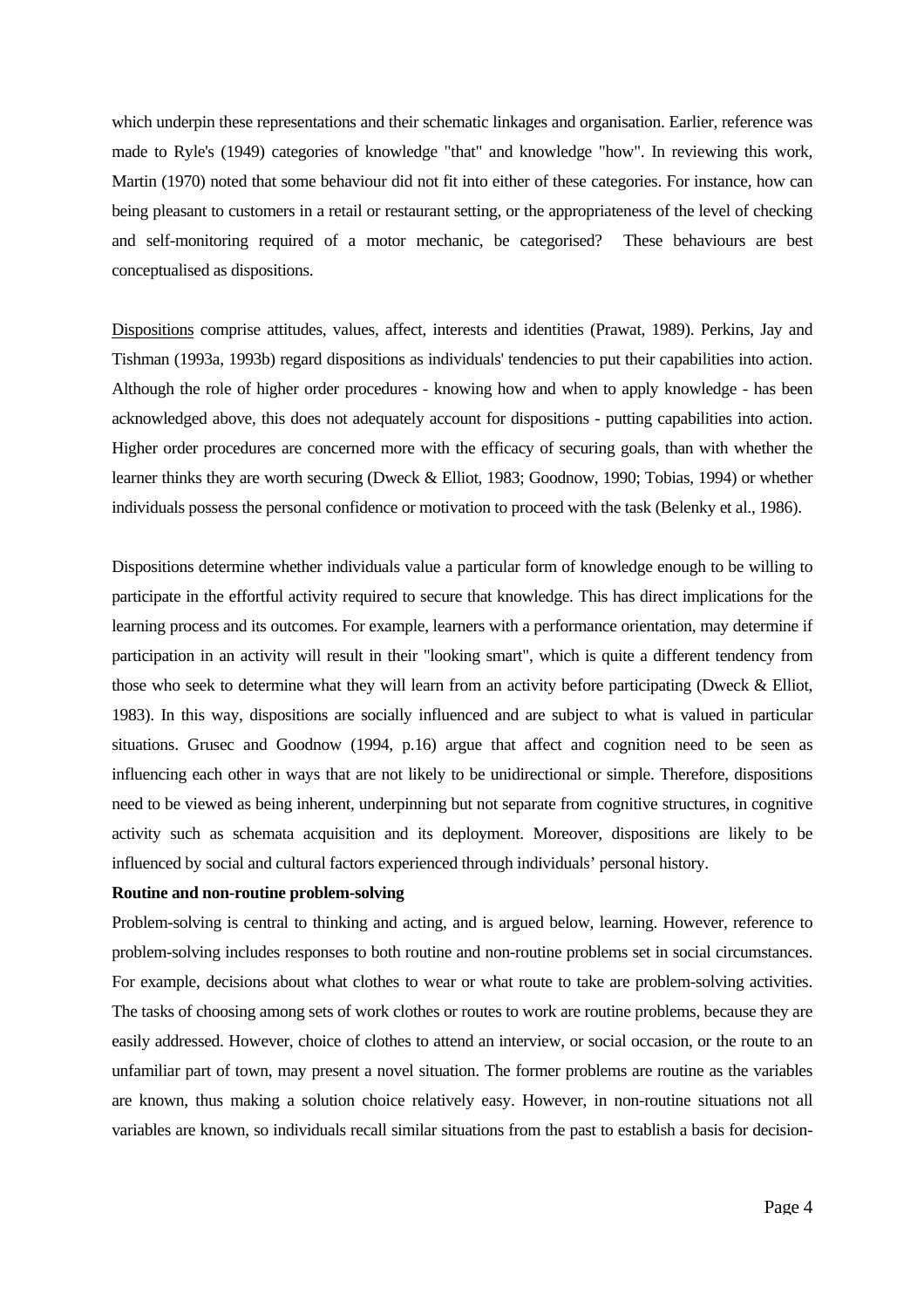which underpin these representations and their schematic linkages and organisation. Earlier, reference was made to Ryle's (1949) categories of knowledge "that" and knowledge "how". In reviewing this work, Martin (1970) noted that some behaviour did not fit into either of these categories. For instance, how can being pleasant to customers in a retail or restaurant setting, or the appropriateness of the level of checking and self-monitoring required of a motor mechanic, be categorised? These behaviours are best conceptualised as dispositions.

Dispositions comprise attitudes, values, affect, interests and identities (Prawat, 1989). Perkins, Jay and Tishman (1993a, 1993b) regard dispositions as individuals' tendencies to put their capabilities into action. Although the role of higher order procedures - knowing how and when to apply knowledge - has been acknowledged above, this does not adequately account for dispositions - putting capabilities into action. Higher order procedures are concerned more with the efficacy of securing goals, than with whether the learner thinks they are worth securing (Dweck & Elliot, 1983; Goodnow, 1990; Tobias, 1994) or whether individuals possess the personal confidence or motivation to proceed with the task (Belenky et al., 1986).

Dispositions determine whether individuals value a particular form of knowledge enough to be willing to participate in the effortful activity required to secure that knowledge. This has direct implications for the learning process and its outcomes. For example, learners with a performance orientation, may determine if participation in an activity will result in their "looking smart", which is quite a different tendency from those who seek to determine what they will learn from an activity before participating (Dweck & Elliot, 1983). In this way, dispositions are socially influenced and are subject to what is valued in particular situations. Grusec and Goodnow (1994, p.16) argue that affect and cognition need to be seen as influencing each other in ways that are not likely to be unidirectional or simple. Therefore, dispositions need to be viewed as being inherent, underpinning but not separate from cognitive structures, in cognitive activity such as schemata acquisition and its deployment. Moreover, dispositions are likely to be influenced by social and cultural factors experienced through individuals' personal history.

## **Routine and non-routine problem-solving**

Problem-solving is central to thinking and acting, and is argued below, learning. However, reference to problem-solving includes responses to both routine and non-routine problems set in social circumstances. For example, decisions about what clothes to wear or what route to take are problem-solving activities. The tasks of choosing among sets of work clothes or routes to work are routine problems, because they are easily addressed. However, choice of clothes to attend an interview, or social occasion, or the route to an unfamiliar part of town, may present a novel situation. The former problems are routine as the variables are known, thus making a solution choice relatively easy. However, in non-routine situations not all variables are known, so individuals recall similar situations from the past to establish a basis for decision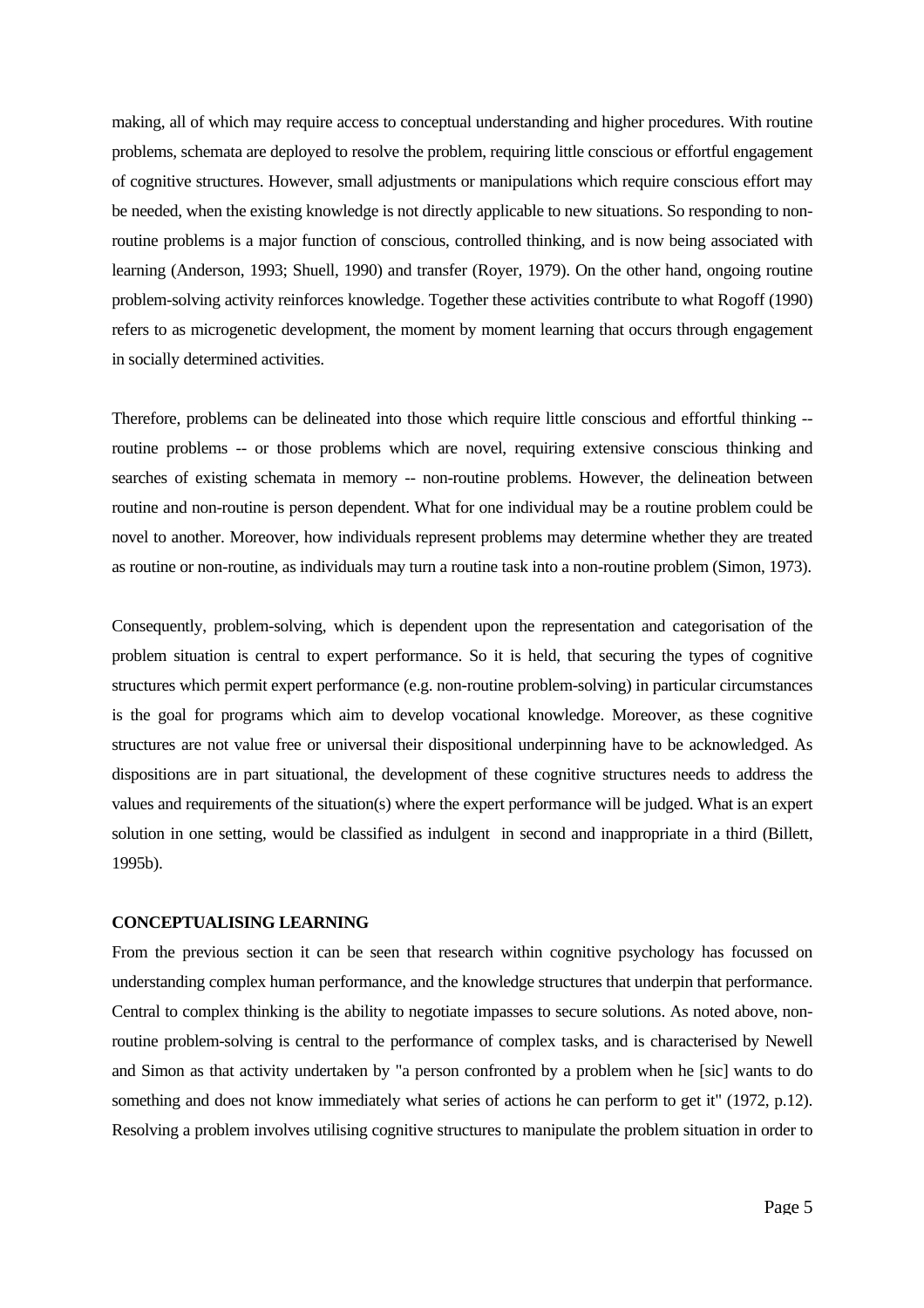making, all of which may require access to conceptual understanding and higher procedures. With routine problems, schemata are deployed to resolve the problem, requiring little conscious or effortful engagement of cognitive structures. However, small adjustments or manipulations which require conscious effort may be needed, when the existing knowledge is not directly applicable to new situations. So responding to nonroutine problems is a major function of conscious, controlled thinking, and is now being associated with learning (Anderson, 1993; Shuell, 1990) and transfer (Royer, 1979). On the other hand, ongoing routine problem-solving activity reinforces knowledge. Together these activities contribute to what Rogoff (1990) refers to as microgenetic development, the moment by moment learning that occurs through engagement in socially determined activities.

Therefore, problems can be delineated into those which require little conscious and effortful thinking - routine problems -- or those problems which are novel, requiring extensive conscious thinking and searches of existing schemata in memory -- non-routine problems. However, the delineation between routine and non-routine is person dependent. What for one individual may be a routine problem could be novel to another. Moreover, how individuals represent problems may determine whether they are treated as routine or non-routine, as individuals may turn a routine task into a non-routine problem (Simon, 1973).

Consequently, problem-solving, which is dependent upon the representation and categorisation of the problem situation is central to expert performance. So it is held, that securing the types of cognitive structures which permit expert performance (e.g. non-routine problem-solving) in particular circumstances is the goal for programs which aim to develop vocational knowledge. Moreover, as these cognitive structures are not value free or universal their dispositional underpinning have to be acknowledged. As dispositions are in part situational, the development of these cognitive structures needs to address the values and requirements of the situation(s) where the expert performance will be judged. What is an expert solution in one setting, would be classified as indulgent in second and inappropriate in a third (Billett, 1995b).

### **CONCEPTUALISING LEARNING**

From the previous section it can be seen that research within cognitive psychology has focussed on understanding complex human performance, and the knowledge structures that underpin that performance. Central to complex thinking is the ability to negotiate impasses to secure solutions. As noted above, nonroutine problem-solving is central to the performance of complex tasks, and is characterised by Newell and Simon as that activity undertaken by "a person confronted by a problem when he [sic] wants to do something and does not know immediately what series of actions he can perform to get it" (1972, p.12). Resolving a problem involves utilising cognitive structures to manipulate the problem situation in order to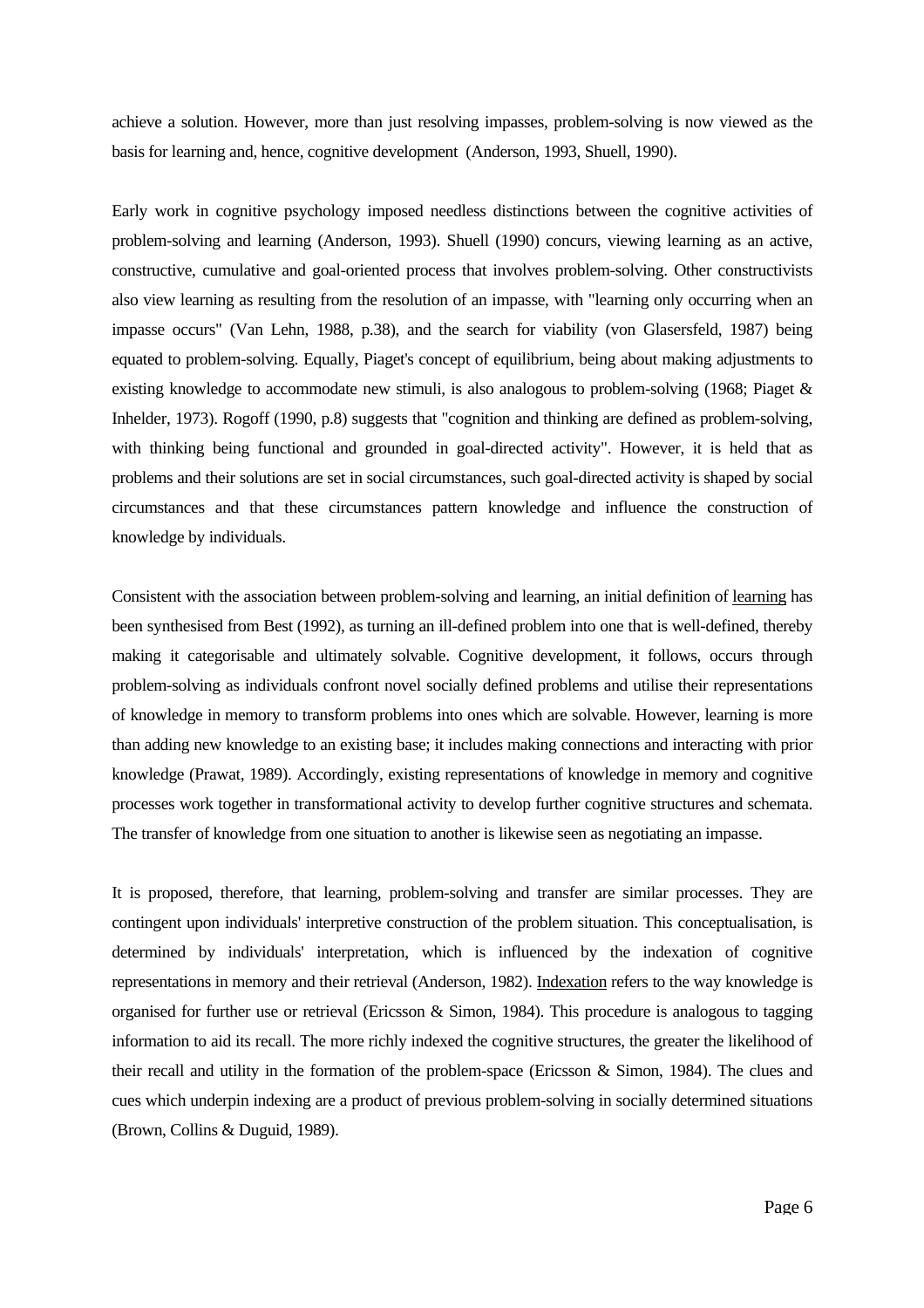achieve a solution. However, more than just resolving impasses, problem-solving is now viewed as the basis for learning and, hence, cognitive development (Anderson, 1993, Shuell, 1990).

Early work in cognitive psychology imposed needless distinctions between the cognitive activities of problem-solving and learning (Anderson, 1993). Shuell (1990) concurs, viewing learning as an active, constructive, cumulative and goal-oriented process that involves problem-solving. Other constructivists also view learning as resulting from the resolution of an impasse, with "learning only occurring when an impasse occurs" (Van Lehn, 1988, p.38), and the search for viability (von Glasersfeld, 1987) being equated to problem-solving. Equally, Piaget's concept of equilibrium, being about making adjustments to existing knowledge to accommodate new stimuli, is also analogous to problem-solving (1968; Piaget & Inhelder, 1973). Rogoff (1990, p.8) suggests that "cognition and thinking are defined as problem-solving, with thinking being functional and grounded in goal-directed activity". However, it is held that as problems and their solutions are set in social circumstances, such goal-directed activity is shaped by social circumstances and that these circumstances pattern knowledge and influence the construction of knowledge by individuals.

Consistent with the association between problem-solving and learning, an initial definition of learning has been synthesised from Best (1992), as turning an ill-defined problem into one that is well-defined, thereby making it categorisable and ultimately solvable. Cognitive development, it follows, occurs through problem-solving as individuals confront novel socially defined problems and utilise their representations of knowledge in memory to transform problems into ones which are solvable. However, learning is more than adding new knowledge to an existing base; it includes making connections and interacting with prior knowledge (Prawat, 1989). Accordingly, existing representations of knowledge in memory and cognitive processes work together in transformational activity to develop further cognitive structures and schemata. The transfer of knowledge from one situation to another is likewise seen as negotiating an impasse.

It is proposed, therefore, that learning, problem-solving and transfer are similar processes. They are contingent upon individuals' interpretive construction of the problem situation. This conceptualisation, is determined by individuals' interpretation, which is influenced by the indexation of cognitive representations in memory and their retrieval (Anderson, 1982). Indexation refers to the way knowledge is organised for further use or retrieval (Ericsson & Simon, 1984). This procedure is analogous to tagging information to aid its recall. The more richly indexed the cognitive structures, the greater the likelihood of their recall and utility in the formation of the problem-space (Ericsson & Simon, 1984). The clues and cues which underpin indexing are a product of previous problem-solving in socially determined situations (Brown, Collins & Duguid, 1989).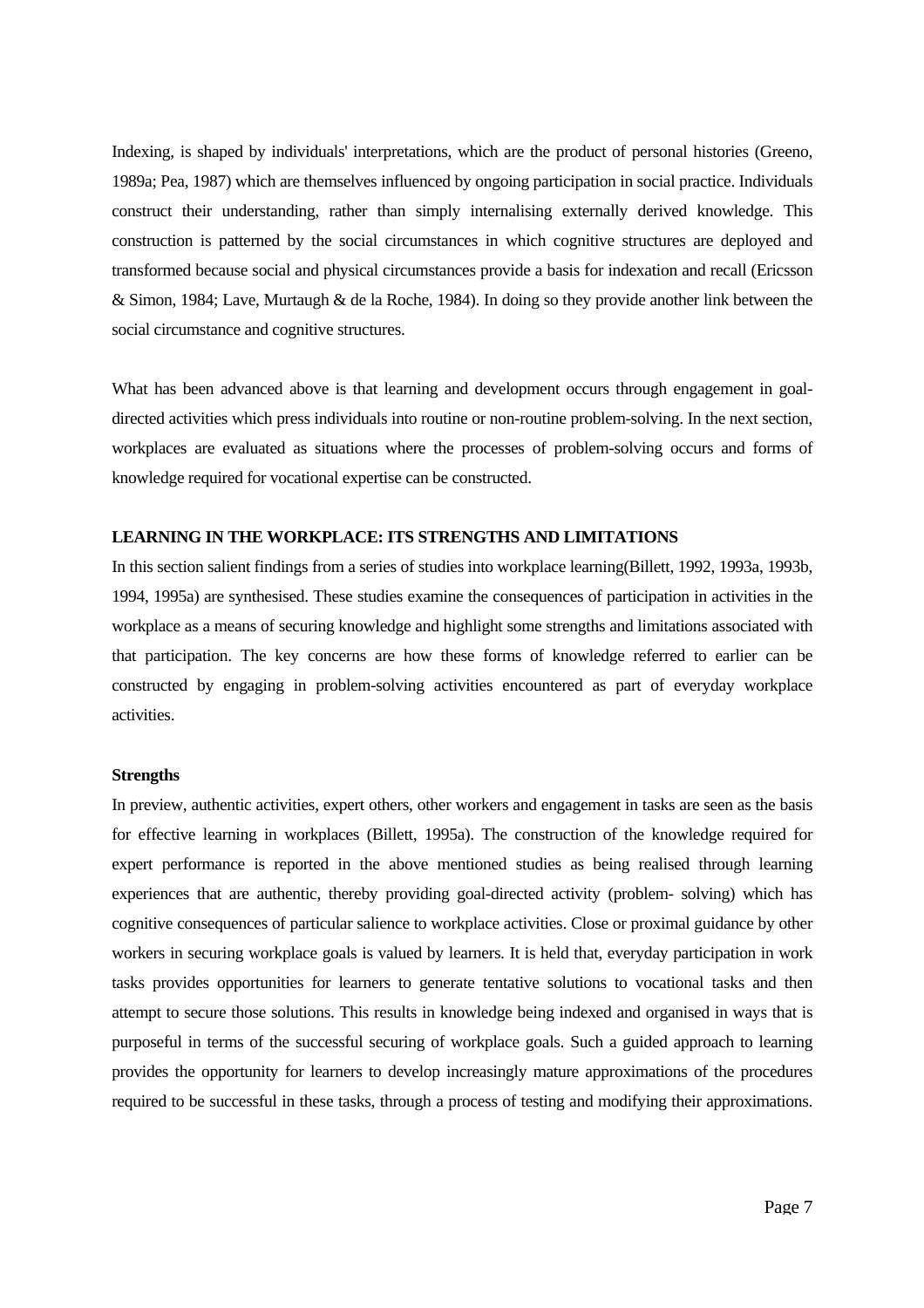Indexing, is shaped by individuals' interpretations, which are the product of personal histories (Greeno, 1989a; Pea, 1987) which are themselves influenced by ongoing participation in social practice. Individuals construct their understanding, rather than simply internalising externally derived knowledge. This construction is patterned by the social circumstances in which cognitive structures are deployed and transformed because social and physical circumstances provide a basis for indexation and recall (Ericsson & Simon, 1984; Lave, Murtaugh & de la Roche, 1984). In doing so they provide another link between the social circumstance and cognitive structures.

What has been advanced above is that learning and development occurs through engagement in goaldirected activities which press individuals into routine or non-routine problem-solving. In the next section, workplaces are evaluated as situations where the processes of problem-solving occurs and forms of knowledge required for vocational expertise can be constructed.

## **LEARNING IN THE WORKPLACE: ITS STRENGTHS AND LIMITATIONS**

In this section salient findings from a series of studies into workplace learning(Billett, 1992, 1993a, 1993b, 1994, 1995a) are synthesised. These studies examine the consequences of participation in activities in the workplace as a means of securing knowledge and highlight some strengths and limitations associated with that participation. The key concerns are how these forms of knowledge referred to earlier can be constructed by engaging in problem-solving activities encountered as part of everyday workplace activities.

## **Strengths**

In preview, authentic activities, expert others, other workers and engagement in tasks are seen as the basis for effective learning in workplaces (Billett, 1995a). The construction of the knowledge required for expert performance is reported in the above mentioned studies as being realised through learning experiences that are authentic, thereby providing goal-directed activity (problem- solving) which has cognitive consequences of particular salience to workplace activities. Close or proximal guidance by other workers in securing workplace goals is valued by learners. It is held that, everyday participation in work tasks provides opportunities for learners to generate tentative solutions to vocational tasks and then attempt to secure those solutions. This results in knowledge being indexed and organised in ways that is purposeful in terms of the successful securing of workplace goals. Such a guided approach to learning provides the opportunity for learners to develop increasingly mature approximations of the procedures required to be successful in these tasks, through a process of testing and modifying their approximations.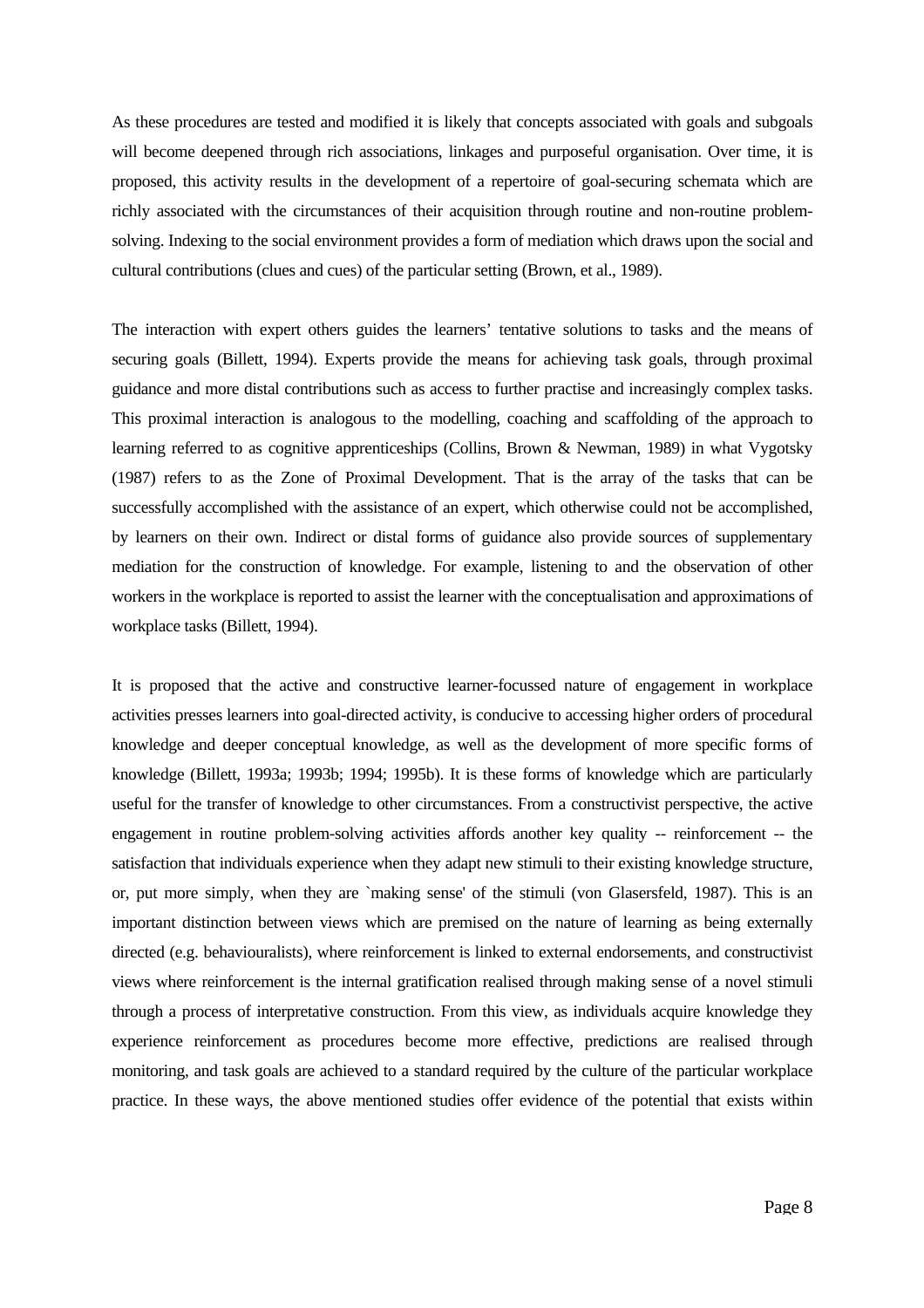As these procedures are tested and modified it is likely that concepts associated with goals and subgoals will become deepened through rich associations, linkages and purposeful organisation. Over time, it is proposed, this activity results in the development of a repertoire of goal-securing schemata which are richly associated with the circumstances of their acquisition through routine and non-routine problemsolving. Indexing to the social environment provides a form of mediation which draws upon the social and cultural contributions (clues and cues) of the particular setting (Brown, et al., 1989).

The interaction with expert others guides the learners' tentative solutions to tasks and the means of securing goals (Billett, 1994). Experts provide the means for achieving task goals, through proximal guidance and more distal contributions such as access to further practise and increasingly complex tasks. This proximal interaction is analogous to the modelling, coaching and scaffolding of the approach to learning referred to as cognitive apprenticeships (Collins, Brown & Newman, 1989) in what Vygotsky (1987) refers to as the Zone of Proximal Development. That is the array of the tasks that can be successfully accomplished with the assistance of an expert, which otherwise could not be accomplished, by learners on their own. Indirect or distal forms of guidance also provide sources of supplementary mediation for the construction of knowledge. For example, listening to and the observation of other workers in the workplace is reported to assist the learner with the conceptualisation and approximations of workplace tasks (Billett, 1994).

It is proposed that the active and constructive learner-focussed nature of engagement in workplace activities presses learners into goal-directed activity, is conducive to accessing higher orders of procedural knowledge and deeper conceptual knowledge, as well as the development of more specific forms of knowledge (Billett, 1993a; 1993b; 1994; 1995b). It is these forms of knowledge which are particularly useful for the transfer of knowledge to other circumstances. From a constructivist perspective, the active engagement in routine problem-solving activities affords another key quality -- reinforcement -- the satisfaction that individuals experience when they adapt new stimuli to their existing knowledge structure, or, put more simply, when they are `making sense' of the stimuli (von Glasersfeld, 1987). This is an important distinction between views which are premised on the nature of learning as being externally directed (e.g. behaviouralists), where reinforcement is linked to external endorsements, and constructivist views where reinforcement is the internal gratification realised through making sense of a novel stimuli through a process of interpretative construction. From this view, as individuals acquire knowledge they experience reinforcement as procedures become more effective, predictions are realised through monitoring, and task goals are achieved to a standard required by the culture of the particular workplace practice. In these ways, the above mentioned studies offer evidence of the potential that exists within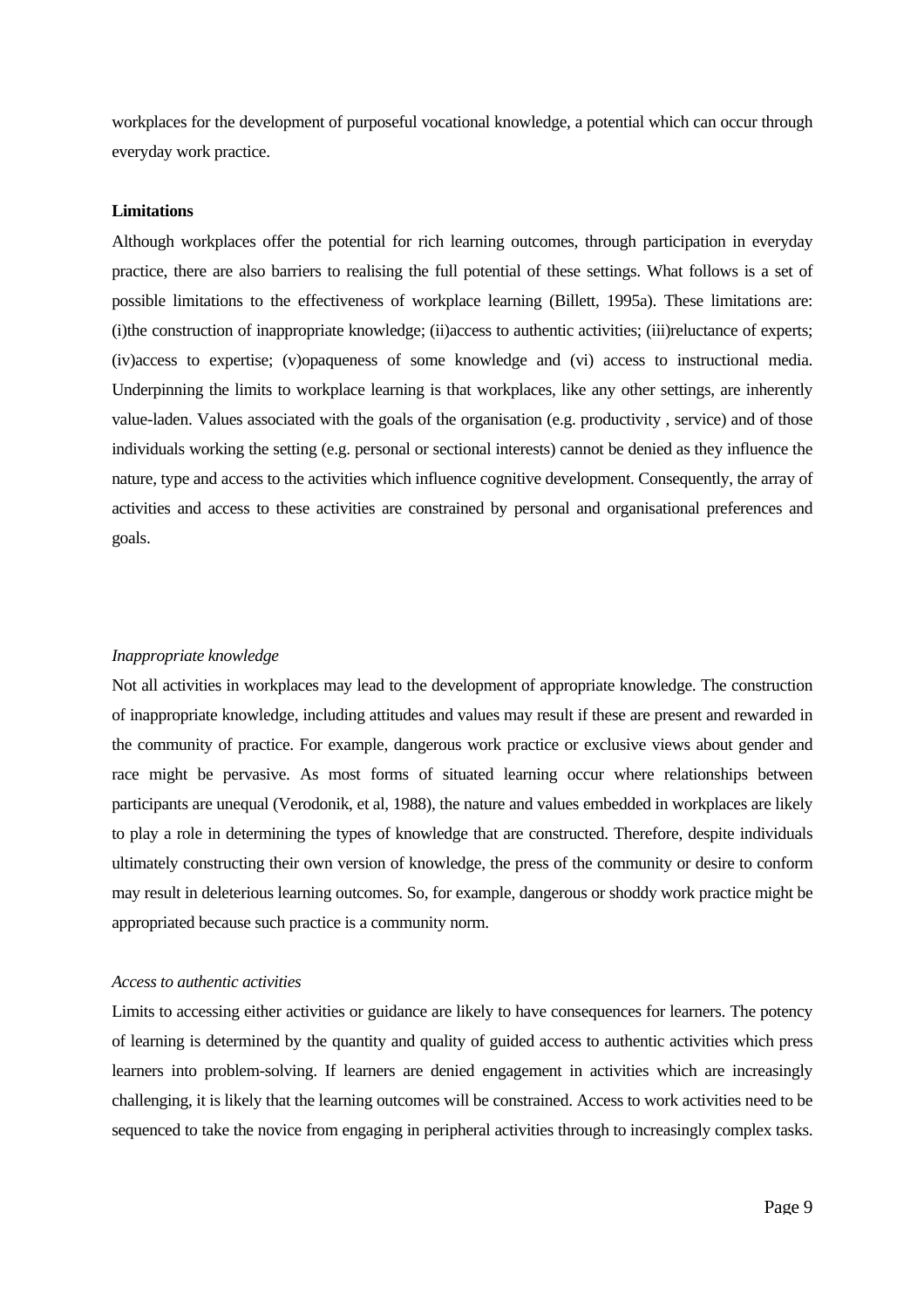workplaces for the development of purposeful vocational knowledge, a potential which can occur through everyday work practice.

#### **Limitations**

Although workplaces offer the potential for rich learning outcomes, through participation in everyday practice, there are also barriers to realising the full potential of these settings. What follows is a set of possible limitations to the effectiveness of workplace learning (Billett, 1995a). These limitations are: (i)the construction of inappropriate knowledge; (ii)access to authentic activities; (iii)reluctance of experts; (iv)access to expertise; (v)opaqueness of some knowledge and (vi) access to instructional media. Underpinning the limits to workplace learning is that workplaces, like any other settings, are inherently value-laden. Values associated with the goals of the organisation (e.g. productivity , service) and of those individuals working the setting (e.g. personal or sectional interests) cannot be denied as they influence the nature, type and access to the activities which influence cognitive development. Consequently, the array of activities and access to these activities are constrained by personal and organisational preferences and goals.

## *Inappropriate knowledge*

Not all activities in workplaces may lead to the development of appropriate knowledge. The construction of inappropriate knowledge, including attitudes and values may result if these are present and rewarded in the community of practice. For example, dangerous work practice or exclusive views about gender and race might be pervasive. As most forms of situated learning occur where relationships between participants are unequal (Verodonik, et al, 1988), the nature and values embedded in workplaces are likely to play a role in determining the types of knowledge that are constructed. Therefore, despite individuals ultimately constructing their own version of knowledge, the press of the community or desire to conform may result in deleterious learning outcomes. So, for example, dangerous or shoddy work practice might be appropriated because such practice is a community norm.

## *Access to authentic activities*

Limits to accessing either activities or guidance are likely to have consequences for learners. The potency of learning is determined by the quantity and quality of guided access to authentic activities which press learners into problem-solving. If learners are denied engagement in activities which are increasingly challenging, it is likely that the learning outcomes will be constrained. Access to work activities need to be sequenced to take the novice from engaging in peripheral activities through to increasingly complex tasks.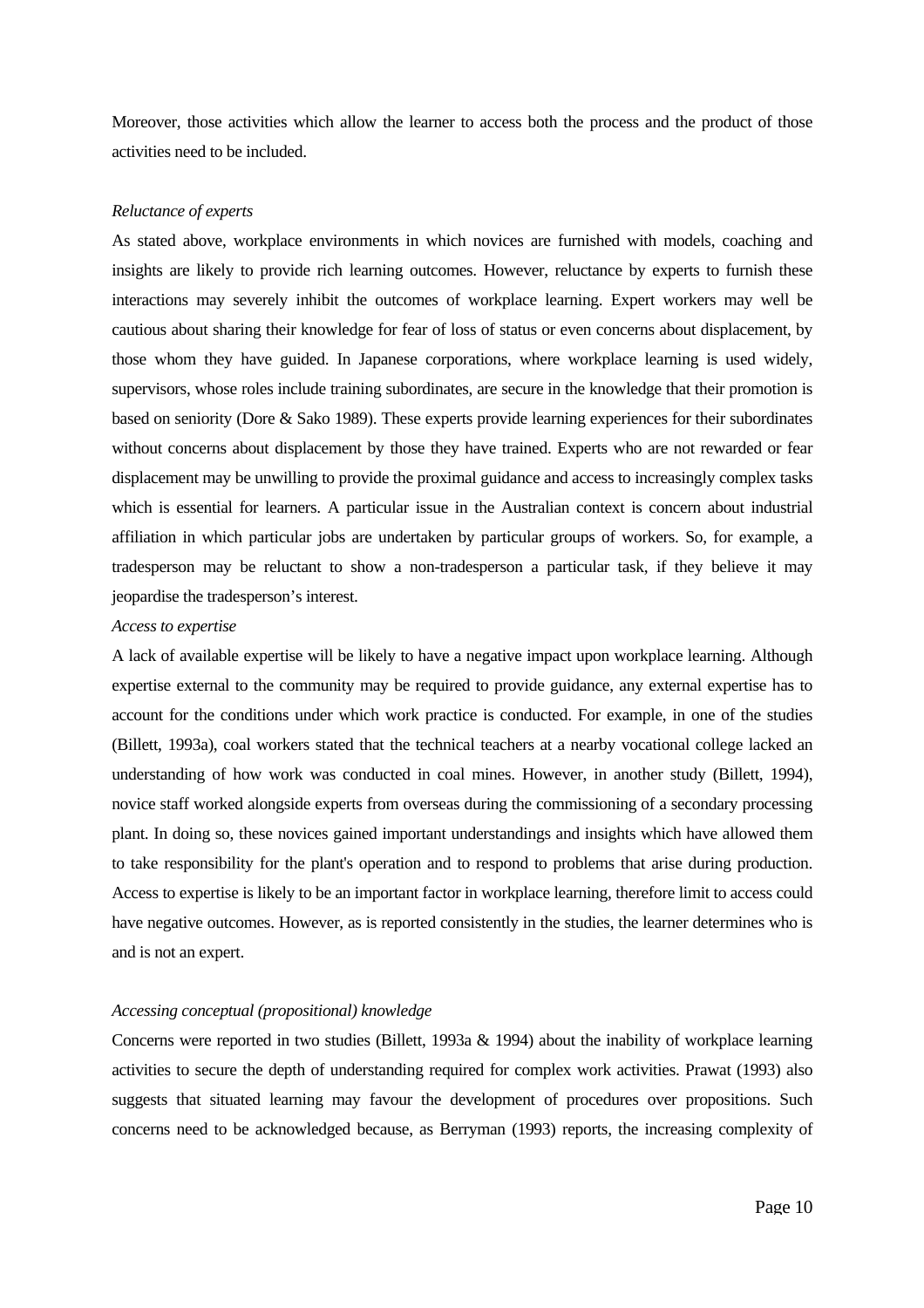Moreover, those activities which allow the learner to access both the process and the product of those activities need to be included.

#### *Reluctance of experts*

As stated above, workplace environments in which novices are furnished with models, coaching and insights are likely to provide rich learning outcomes. However, reluctance by experts to furnish these interactions may severely inhibit the outcomes of workplace learning. Expert workers may well be cautious about sharing their knowledge for fear of loss of status or even concerns about displacement, by those whom they have guided. In Japanese corporations, where workplace learning is used widely, supervisors, whose roles include training subordinates, are secure in the knowledge that their promotion is based on seniority (Dore & Sako 1989). These experts provide learning experiences for their subordinates without concerns about displacement by those they have trained. Experts who are not rewarded or fear displacement may be unwilling to provide the proximal guidance and access to increasingly complex tasks which is essential for learners. A particular issue in the Australian context is concern about industrial affiliation in which particular jobs are undertaken by particular groups of workers. So, for example, a tradesperson may be reluctant to show a non-tradesperson a particular task, if they believe it may jeopardise the tradesperson's interest.

#### *Access to expertise*

A lack of available expertise will be likely to have a negative impact upon workplace learning. Although expertise external to the community may be required to provide guidance, any external expertise has to account for the conditions under which work practice is conducted. For example, in one of the studies (Billett, 1993a), coal workers stated that the technical teachers at a nearby vocational college lacked an understanding of how work was conducted in coal mines. However, in another study (Billett, 1994), novice staff worked alongside experts from overseas during the commissioning of a secondary processing plant. In doing so, these novices gained important understandings and insights which have allowed them to take responsibility for the plant's operation and to respond to problems that arise during production. Access to expertise is likely to be an important factor in workplace learning, therefore limit to access could have negative outcomes. However, as is reported consistently in the studies, the learner determines who is and is not an expert.

## *Accessing conceptual (propositional) knowledge*

Concerns were reported in two studies (Billett, 1993a & 1994) about the inability of workplace learning activities to secure the depth of understanding required for complex work activities. Prawat (1993) also suggests that situated learning may favour the development of procedures over propositions. Such concerns need to be acknowledged because, as Berryman (1993) reports, the increasing complexity of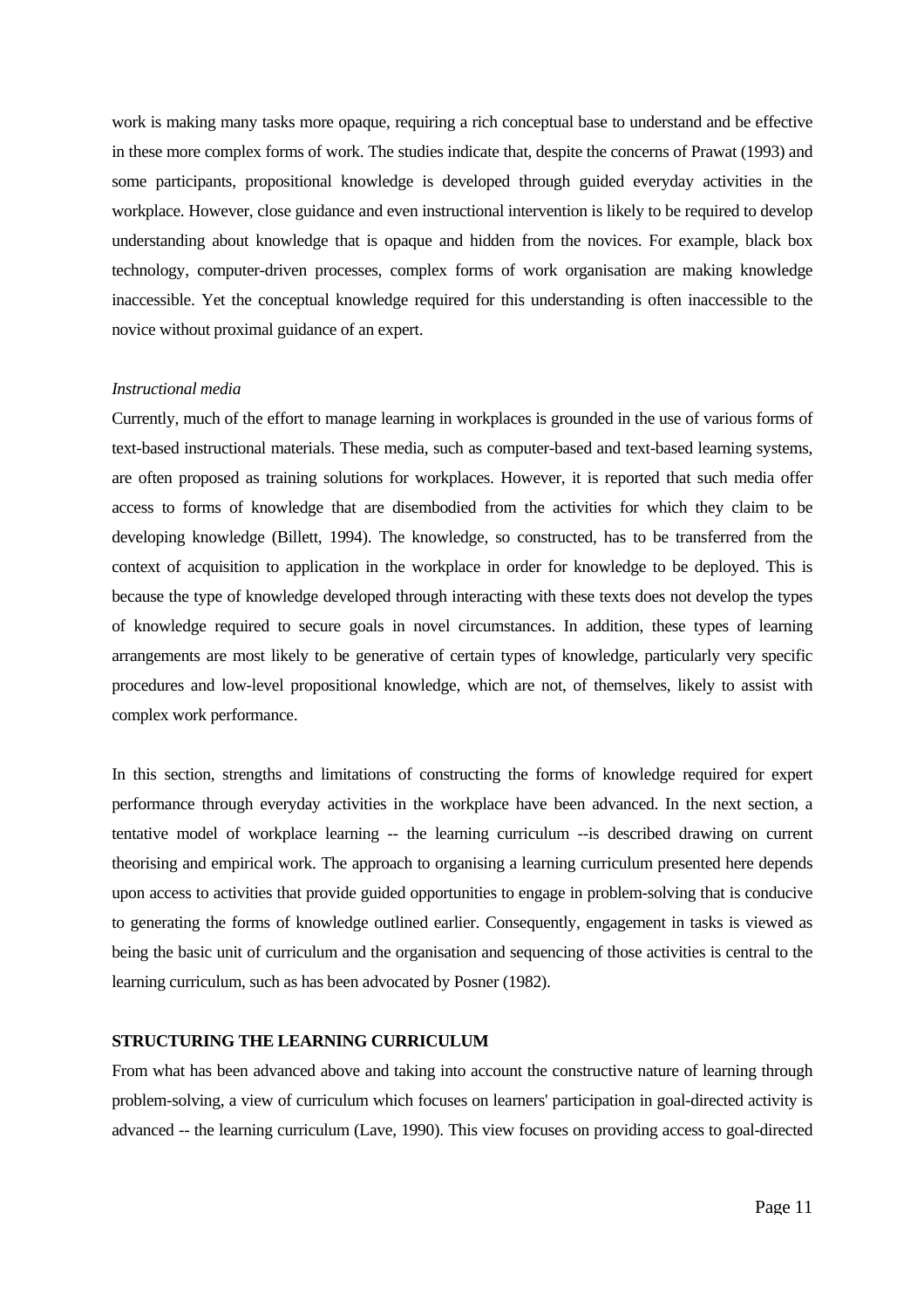work is making many tasks more opaque, requiring a rich conceptual base to understand and be effective in these more complex forms of work. The studies indicate that, despite the concerns of Prawat (1993) and some participants, propositional knowledge is developed through guided everyday activities in the workplace. However, close guidance and even instructional intervention is likely to be required to develop understanding about knowledge that is opaque and hidden from the novices. For example, black box technology, computer-driven processes, complex forms of work organisation are making knowledge inaccessible. Yet the conceptual knowledge required for this understanding is often inaccessible to the novice without proximal guidance of an expert.

### *Instructional media*

Currently, much of the effort to manage learning in workplaces is grounded in the use of various forms of text-based instructional materials. These media, such as computer-based and text-based learning systems, are often proposed as training solutions for workplaces. However, it is reported that such media offer access to forms of knowledge that are disembodied from the activities for which they claim to be developing knowledge (Billett, 1994). The knowledge, so constructed, has to be transferred from the context of acquisition to application in the workplace in order for knowledge to be deployed. This is because the type of knowledge developed through interacting with these texts does not develop the types of knowledge required to secure goals in novel circumstances. In addition, these types of learning arrangements are most likely to be generative of certain types of knowledge, particularly very specific procedures and low-level propositional knowledge, which are not, of themselves, likely to assist with complex work performance.

In this section, strengths and limitations of constructing the forms of knowledge required for expert performance through everyday activities in the workplace have been advanced. In the next section, a tentative model of workplace learning -- the learning curriculum --is described drawing on current theorising and empirical work. The approach to organising a learning curriculum presented here depends upon access to activities that provide guided opportunities to engage in problem-solving that is conducive to generating the forms of knowledge outlined earlier. Consequently, engagement in tasks is viewed as being the basic unit of curriculum and the organisation and sequencing of those activities is central to the learning curriculum, such as has been advocated by Posner (1982).

### **STRUCTURING THE LEARNING CURRICULUM**

From what has been advanced above and taking into account the constructive nature of learning through problem-solving, a view of curriculum which focuses on learners' participation in goal-directed activity is advanced -- the learning curriculum (Lave, 1990). This view focuses on providing access to goal-directed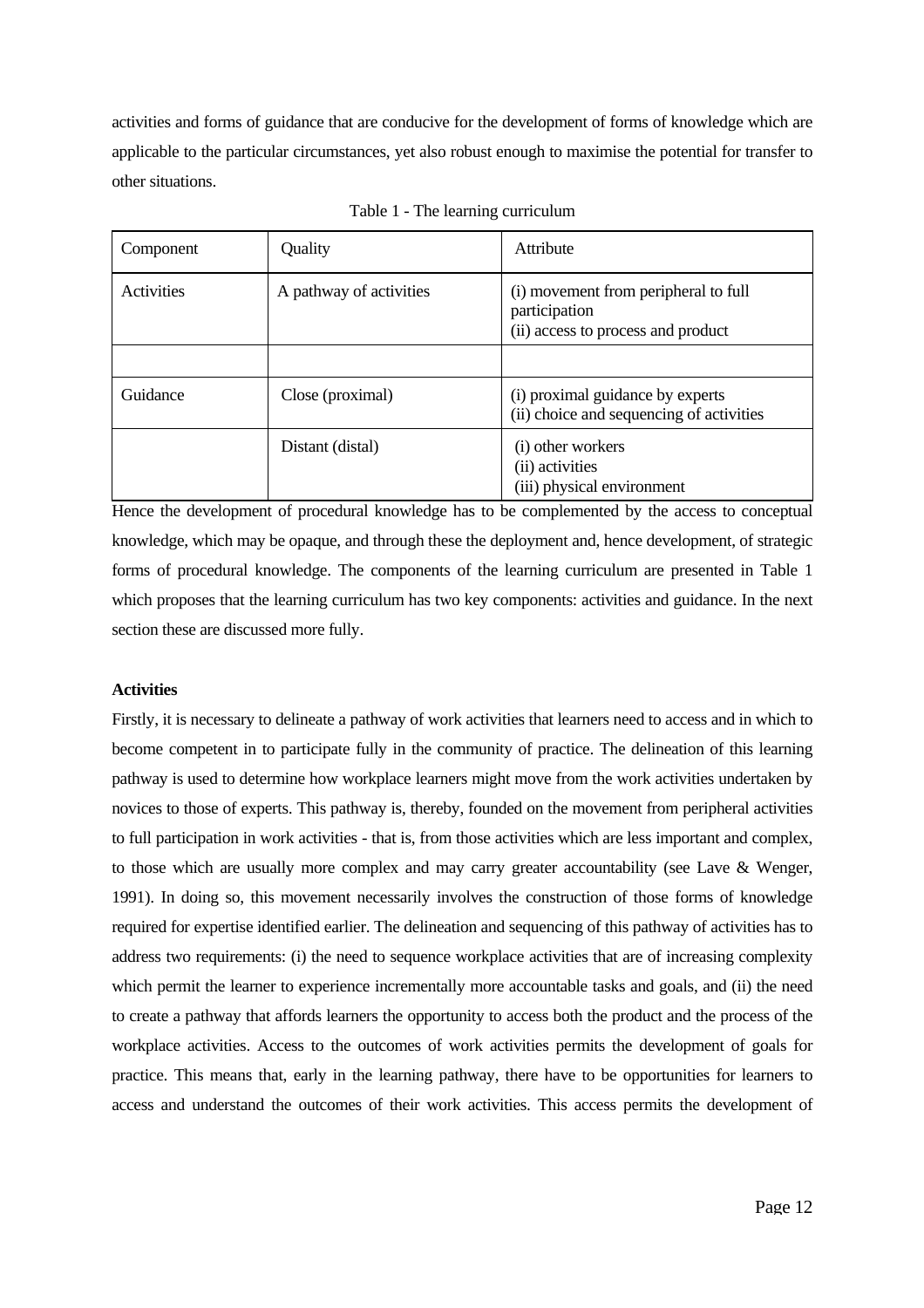activities and forms of guidance that are conducive for the development of forms of knowledge which are applicable to the particular circumstances, yet also robust enough to maximise the potential for transfer to other situations.

| Component  | Quality                 | Attribute                                                                                   |
|------------|-------------------------|---------------------------------------------------------------------------------------------|
| Activities | A pathway of activities | (i) movement from peripheral to full<br>participation<br>(ii) access to process and product |
|            |                         |                                                                                             |
| Guidance   | Close (proximal)        | (i) proximal guidance by experts<br>(ii) choice and sequencing of activities                |
|            | Distant (distal)        | (i) other workers<br>(ii) activities<br>(iii) physical environment                          |

Hence the development of procedural knowledge has to be complemented by the access to conceptual knowledge, which may be opaque, and through these the deployment and, hence development, of strategic forms of procedural knowledge. The components of the learning curriculum are presented in Table 1 which proposes that the learning curriculum has two key components: activities and guidance. In the next section these are discussed more fully.

# **Activities**

Firstly, it is necessary to delineate a pathway of work activities that learners need to access and in which to become competent in to participate fully in the community of practice. The delineation of this learning pathway is used to determine how workplace learners might move from the work activities undertaken by novices to those of experts. This pathway is, thereby, founded on the movement from peripheral activities to full participation in work activities - that is, from those activities which are less important and complex, to those which are usually more complex and may carry greater accountability (see Lave & Wenger, 1991). In doing so, this movement necessarily involves the construction of those forms of knowledge required for expertise identified earlier. The delineation and sequencing of this pathway of activities has to address two requirements: (i) the need to sequence workplace activities that are of increasing complexity which permit the learner to experience incrementally more accountable tasks and goals, and (ii) the need to create a pathway that affords learners the opportunity to access both the product and the process of the workplace activities. Access to the outcomes of work activities permits the development of goals for practice. This means that, early in the learning pathway, there have to be opportunities for learners to access and understand the outcomes of their work activities. This access permits the development of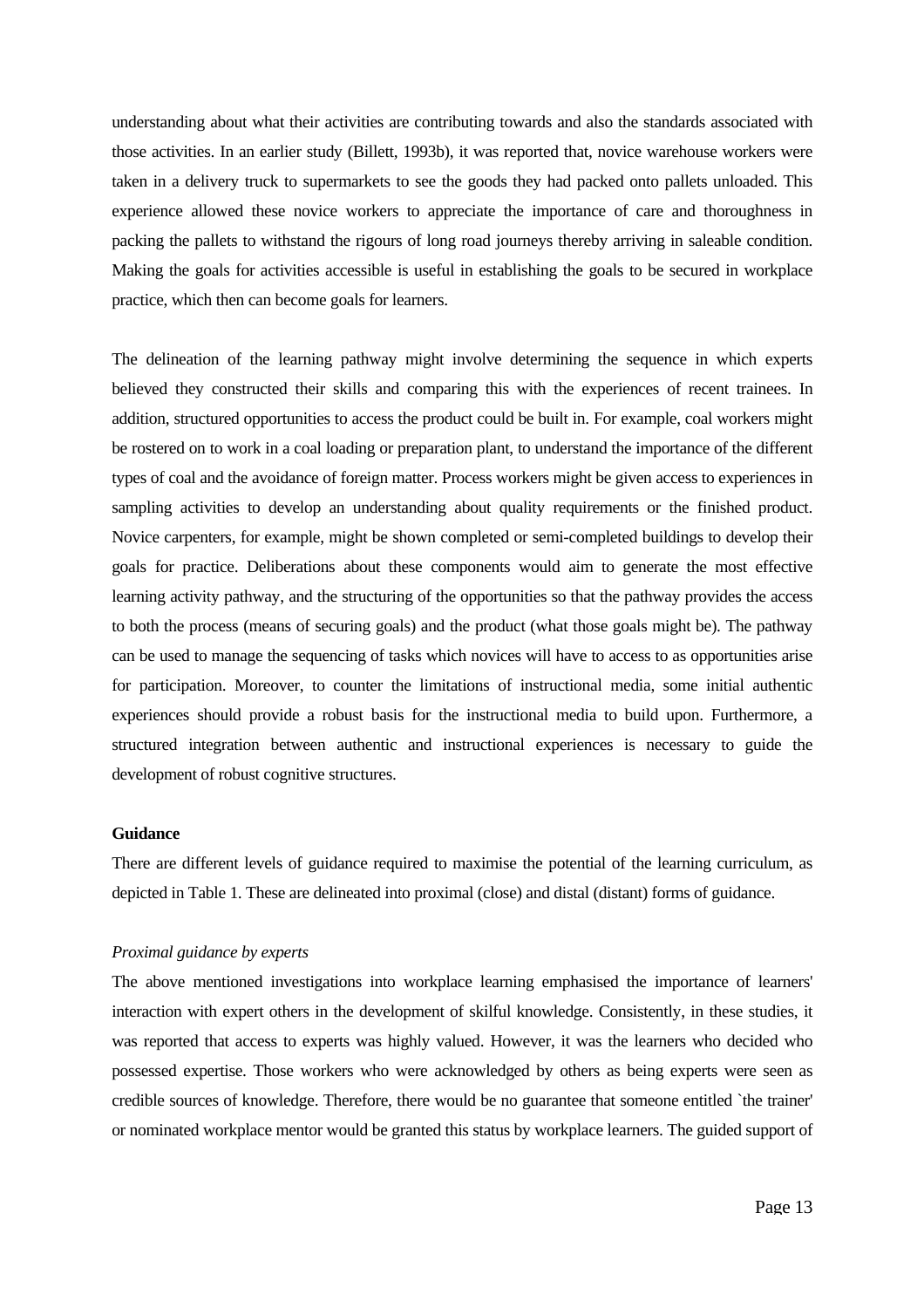understanding about what their activities are contributing towards and also the standards associated with those activities. In an earlier study (Billett, 1993b), it was reported that, novice warehouse workers were taken in a delivery truck to supermarkets to see the goods they had packed onto pallets unloaded. This experience allowed these novice workers to appreciate the importance of care and thoroughness in packing the pallets to withstand the rigours of long road journeys thereby arriving in saleable condition. Making the goals for activities accessible is useful in establishing the goals to be secured in workplace practice, which then can become goals for learners.

The delineation of the learning pathway might involve determining the sequence in which experts believed they constructed their skills and comparing this with the experiences of recent trainees. In addition, structured opportunities to access the product could be built in. For example, coal workers might be rostered on to work in a coal loading or preparation plant, to understand the importance of the different types of coal and the avoidance of foreign matter. Process workers might be given access to experiences in sampling activities to develop an understanding about quality requirements or the finished product. Novice carpenters, for example, might be shown completed or semi-completed buildings to develop their goals for practice. Deliberations about these components would aim to generate the most effective learning activity pathway, and the structuring of the opportunities so that the pathway provides the access to both the process (means of securing goals) and the product (what those goals might be). The pathway can be used to manage the sequencing of tasks which novices will have to access to as opportunities arise for participation. Moreover, to counter the limitations of instructional media, some initial authentic experiences should provide a robust basis for the instructional media to build upon. Furthermore, a structured integration between authentic and instructional experiences is necessary to guide the development of robust cognitive structures.

#### **Guidance**

There are different levels of guidance required to maximise the potential of the learning curriculum, as depicted in Table 1. These are delineated into proximal (close) and distal (distant) forms of guidance.

## *Proximal guidance by experts*

The above mentioned investigations into workplace learning emphasised the importance of learners' interaction with expert others in the development of skilful knowledge. Consistently, in these studies, it was reported that access to experts was highly valued. However, it was the learners who decided who possessed expertise. Those workers who were acknowledged by others as being experts were seen as credible sources of knowledge. Therefore, there would be no guarantee that someone entitled `the trainer' or nominated workplace mentor would be granted this status by workplace learners. The guided support of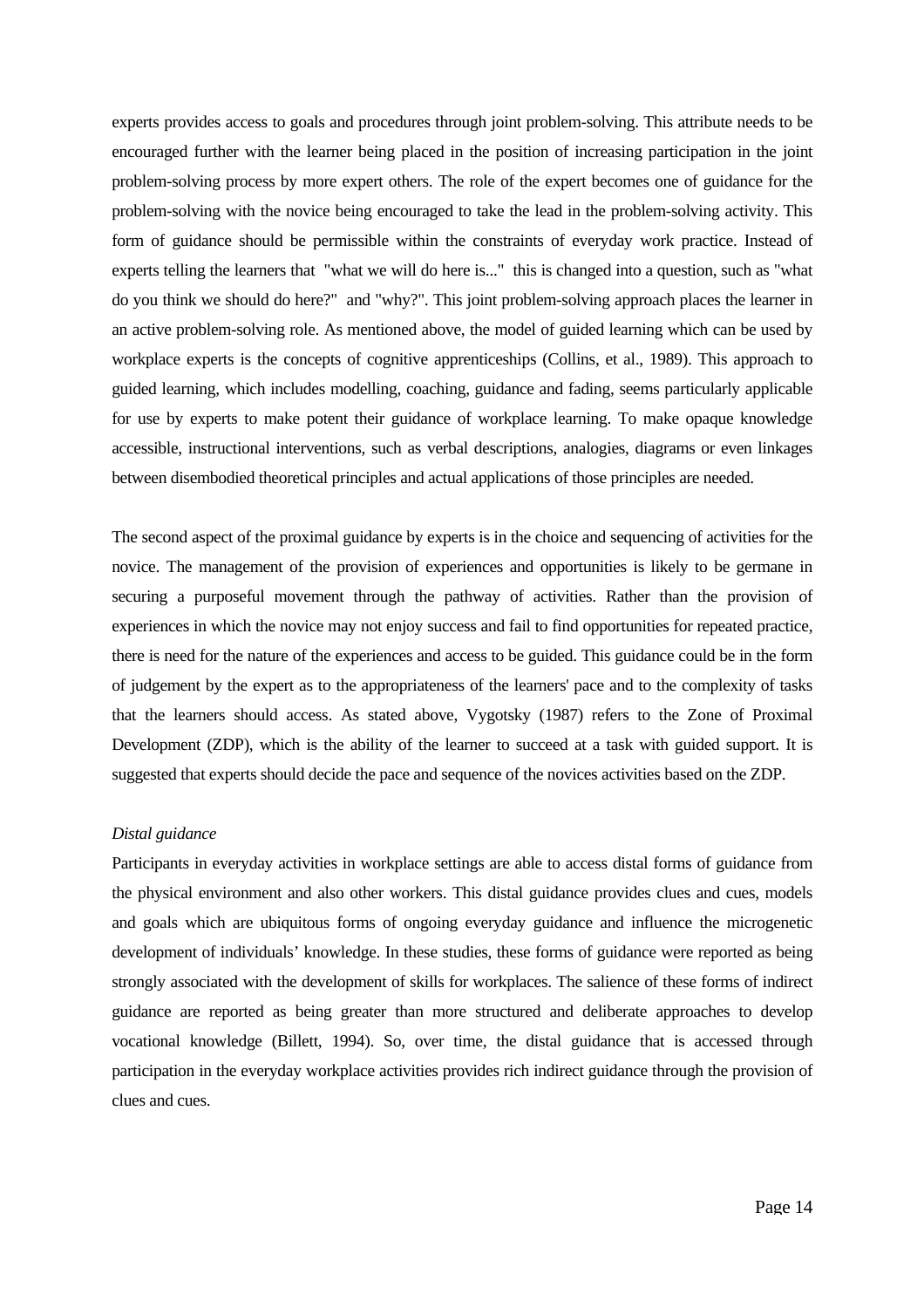experts provides access to goals and procedures through joint problem-solving. This attribute needs to be encouraged further with the learner being placed in the position of increasing participation in the joint problem-solving process by more expert others. The role of the expert becomes one of guidance for the problem-solving with the novice being encouraged to take the lead in the problem-solving activity. This form of guidance should be permissible within the constraints of everyday work practice. Instead of experts telling the learners that "what we will do here is..." this is changed into a question, such as "what do you think we should do here?" and "why?". This joint problem-solving approach places the learner in an active problem-solving role. As mentioned above, the model of guided learning which can be used by workplace experts is the concepts of cognitive apprenticeships (Collins, et al., 1989). This approach to guided learning, which includes modelling, coaching, guidance and fading, seems particularly applicable for use by experts to make potent their guidance of workplace learning. To make opaque knowledge accessible, instructional interventions, such as verbal descriptions, analogies, diagrams or even linkages between disembodied theoretical principles and actual applications of those principles are needed.

The second aspect of the proximal guidance by experts is in the choice and sequencing of activities for the novice. The management of the provision of experiences and opportunities is likely to be germane in securing a purposeful movement through the pathway of activities. Rather than the provision of experiences in which the novice may not enjoy success and fail to find opportunities for repeated practice, there is need for the nature of the experiences and access to be guided. This guidance could be in the form of judgement by the expert as to the appropriateness of the learners' pace and to the complexity of tasks that the learners should access. As stated above, Vygotsky (1987) refers to the Zone of Proximal Development (ZDP), which is the ability of the learner to succeed at a task with guided support. It is suggested that experts should decide the pace and sequence of the novices activities based on the ZDP.

## *Distal guidance*

Participants in everyday activities in workplace settings are able to access distal forms of guidance from the physical environment and also other workers. This distal guidance provides clues and cues, models and goals which are ubiquitous forms of ongoing everyday guidance and influence the microgenetic development of individuals' knowledge. In these studies, these forms of guidance were reported as being strongly associated with the development of skills for workplaces. The salience of these forms of indirect guidance are reported as being greater than more structured and deliberate approaches to develop vocational knowledge (Billett, 1994). So, over time, the distal guidance that is accessed through participation in the everyday workplace activities provides rich indirect guidance through the provision of clues and cues.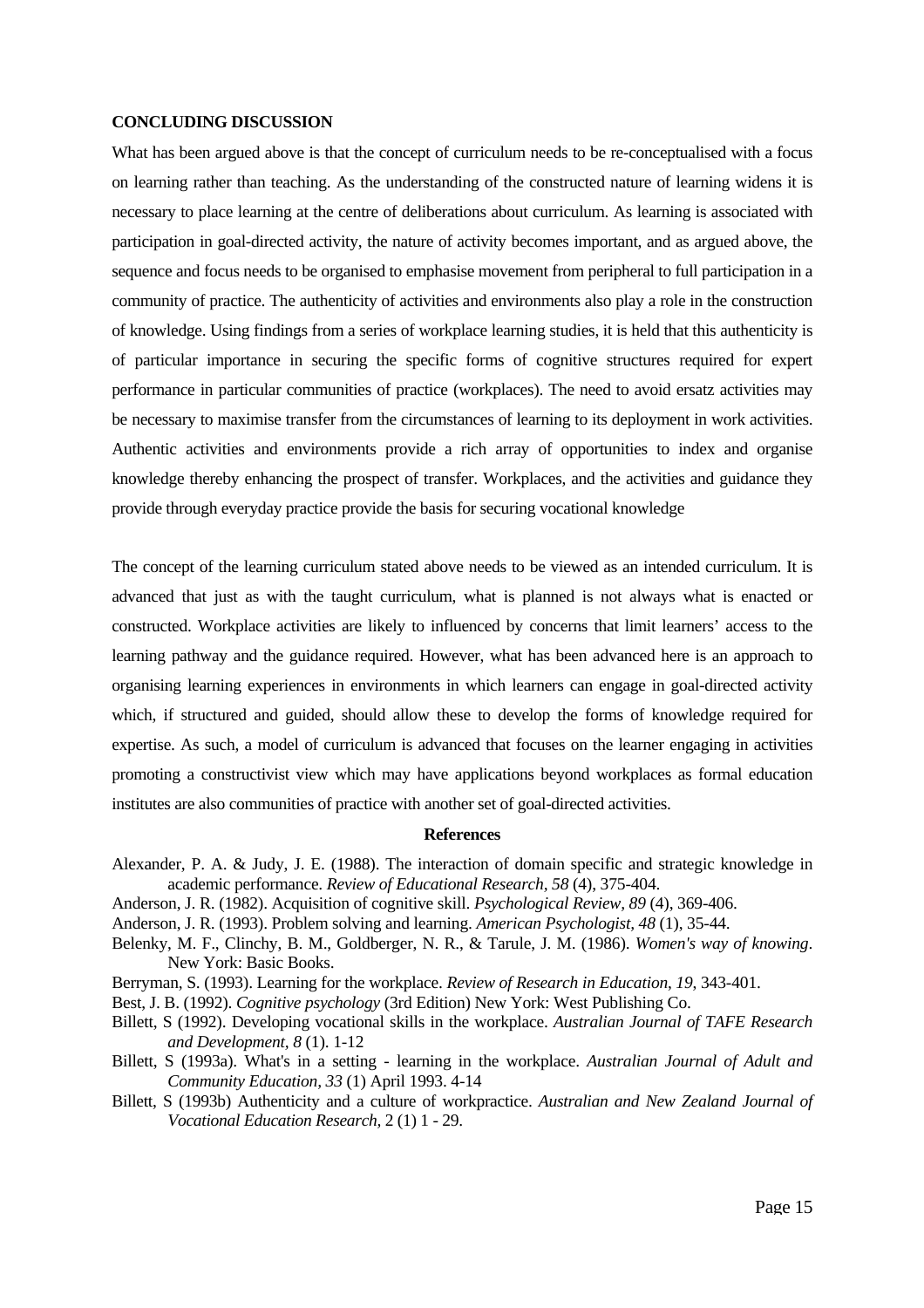#### **CONCLUDING DISCUSSION**

What has been argued above is that the concept of curriculum needs to be re-conceptualised with a focus on learning rather than teaching. As the understanding of the constructed nature of learning widens it is necessary to place learning at the centre of deliberations about curriculum. As learning is associated with participation in goal-directed activity, the nature of activity becomes important, and as argued above, the sequence and focus needs to be organised to emphasise movement from peripheral to full participation in a community of practice. The authenticity of activities and environments also play a role in the construction of knowledge. Using findings from a series of workplace learning studies, it is held that this authenticity is of particular importance in securing the specific forms of cognitive structures required for expert performance in particular communities of practice (workplaces). The need to avoid ersatz activities may be necessary to maximise transfer from the circumstances of learning to its deployment in work activities. Authentic activities and environments provide a rich array of opportunities to index and organise knowledge thereby enhancing the prospect of transfer. Workplaces, and the activities and guidance they provide through everyday practice provide the basis for securing vocational knowledge

The concept of the learning curriculum stated above needs to be viewed as an intended curriculum. It is advanced that just as with the taught curriculum, what is planned is not always what is enacted or constructed. Workplace activities are likely to influenced by concerns that limit learners' access to the learning pathway and the guidance required. However, what has been advanced here is an approach to organising learning experiences in environments in which learners can engage in goal-directed activity which, if structured and guided, should allow these to develop the forms of knowledge required for expertise. As such, a model of curriculum is advanced that focuses on the learner engaging in activities promoting a constructivist view which may have applications beyond workplaces as formal education institutes are also communities of practice with another set of goal-directed activities.

#### **References**

- Alexander, P. A. & Judy, J. E. (1988). The interaction of domain specific and strategic knowledge in academic performance. *Review of Educational Research, 58* (4), 375-404.
- Anderson, J. R. (1982). Acquisition of cognitive skill. *Psychological Review, 89* (4), 369-406.
- Anderson, J. R. (1993). Problem solving and learning. *American Psychologist, 48* (1), 35-44.

Belenky, M. F., Clinchy, B. M., Goldberger, N. R., & Tarule, J. M. (1986). *Women's way of knowing*. New York: Basic Books.

Berryman, S. (1993). Learning for the workplace. *Review of Research in Education*, *19*, 343-401.

Best, J. B. (1992). *Cognitive psychology* (3rd Edition) New York: West Publishing Co.

- Billett, S (1992). Developing vocational skills in the workplace. *Australian Journal of TAFE Research and Development, 8* (1). 1-12
- Billett, S (1993a). What's in a setting learning in the workplace. *Australian Journal of Adult and Community Education, 33* (1) April 1993. 4-14

Billett, S (1993b) Authenticity and a culture of workpractice. *Australian and New Zealand Journal of Vocational Education Research,* 2 (1) 1 - 29.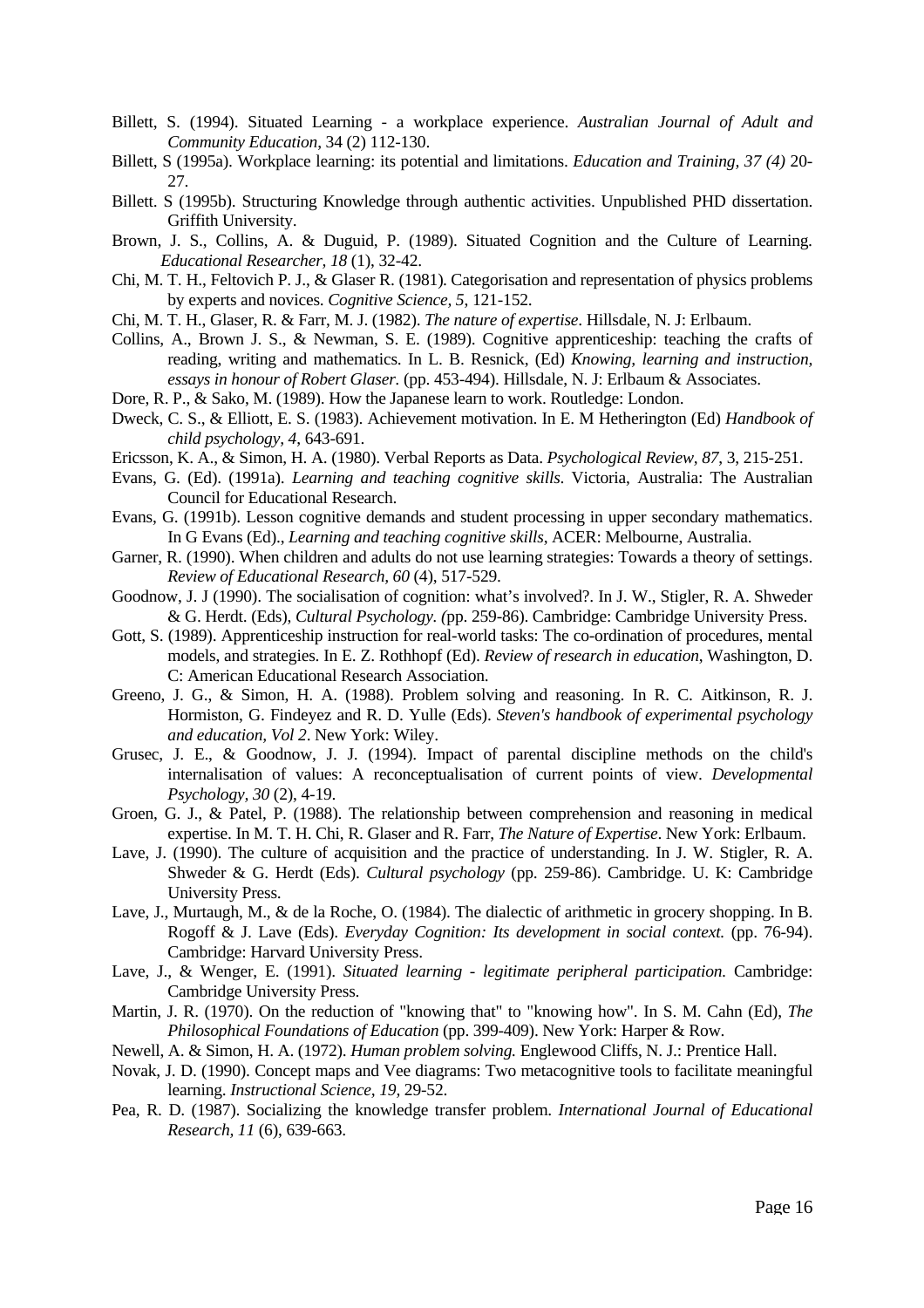- Billett, S. (1994). Situated Learning a workplace experience. *Australian Journal of Adult and Community Education*, 34 (2) 112-130.
- Billett, S (1995a). Workplace learning: its potential and limitations. *Education and Training, 37 (4)* 20- 27.
- Billett. S (1995b). Structuring Knowledge through authentic activities. Unpublished PHD dissertation. Griffith University.
- Brown, J. S., Collins, A. & Duguid, P. (1989). Situated Cognition and the Culture of Learning*. Educational Researcher, 18* (1), 32-42.
- Chi, M. T. H., Feltovich P. J., & Glaser R. (1981). Categorisation and representation of physics problems by experts and novices. *Cognitive Science, 5*, 121-152.
- Chi, M. T. H., Glaser, R. & Farr, M. J. (1982). *The nature of expertise*. Hillsdale, N. J: Erlbaum.
- Collins, A., Brown J. S., & Newman, S. E. (1989). Cognitive apprenticeship: teaching the crafts of reading, writing and mathematics. In L. B. Resnick, (Ed) *Knowing, learning and instruction, essays in honour of Robert Glaser.* (pp. 453-494). Hillsdale, N. J: Erlbaum & Associates.
- Dore, R. P., & Sako, M. (1989). How the Japanese learn to work. Routledge: London.
- Dweck, C. S., & Elliott, E. S. (1983). Achievement motivation. In E. M Hetherington (Ed) *Handbook of child psychology, 4*, 643-691.
- Ericsson, K. A., & Simon, H. A. (1980). Verbal Reports as Data. *Psychological Review, 87*, 3, 215-251.
- Evans, G. (Ed). (1991a). *Learning and teaching cognitive skills*. Victoria, Australia: The Australian Council for Educational Research.
- Evans, G. (1991b). Lesson cognitive demands and student processing in upper secondary mathematics. In G Evans (Ed)., *Learning and teaching cognitive skills*, ACER: Melbourne, Australia.
- Garner, R. (1990). When children and adults do not use learning strategies: Towards a theory of settings. *Review of Educational Research, 60* (4), 517-529.
- Goodnow, J. J (1990). The socialisation of cognition: what's involved?. In J. W., Stigler, R. A. Shweder & G. Herdt. (Eds), *Cultural Psychology. (*pp. 259-86). Cambridge: Cambridge University Press.
- Gott, S. (1989). Apprenticeship instruction for real-world tasks: The co-ordination of procedures, mental models, and strategies. In E. Z. Rothhopf (Ed). *Review of research in education*, Washington, D. C: American Educational Research Association.
- Greeno, J. G., & Simon, H. A. (1988). Problem solving and reasoning. In R. C. Aitkinson, R. J. Hormiston, G. Findeyez and R. D. Yulle (Eds). *Steven's handbook of experimental psychology and education, Vol 2*. New York: Wiley.
- Grusec, J. E., & Goodnow, J. J. (1994). Impact of parental discipline methods on the child's internalisation of values: A reconceptualisation of current points of view. *Developmental Psychology, 30* (2), 4-19.
- Groen, G. J., & Patel, P. (1988). The relationship between comprehension and reasoning in medical expertise. In M. T. H. Chi, R. Glaser and R. Farr, *The Nature of Expertise*. New York: Erlbaum.
- Lave, J. (1990). The culture of acquisition and the practice of understanding. In J. W. Stigler, R. A. Shweder & G. Herdt (Eds). *Cultural psychology* (pp. 259-86). Cambridge. U. K: Cambridge University Press.
- Lave, J., Murtaugh, M., & de la Roche, O. (1984). The dialectic of arithmetic in grocery shopping. In B. Rogoff & J. Lave (Eds). *Everyday Cognition: Its development in social context.* (pp. 76-94). Cambridge: Harvard University Press.
- Lave, J., & Wenger, E. (1991). *Situated learning legitimate peripheral participation.* Cambridge: Cambridge University Press.
- Martin, J. R. (1970). On the reduction of "knowing that" to "knowing how". In S. M. Cahn (Ed), *The Philosophical Foundations of Education* (pp. 399-409). New York: Harper & Row.
- Newell, A. & Simon, H. A. (1972). *Human problem solving.* Englewood Cliffs, N. J.: Prentice Hall.
- Novak, J. D. (1990). Concept maps and Vee diagrams: Two metacognitive tools to facilitate meaningful learning. *Instructional Science, 19,* 29-52.
- Pea, R. D. (1987). Socializing the knowledge transfer problem. *International Journal of Educational Research, 11* (6), 639-663.